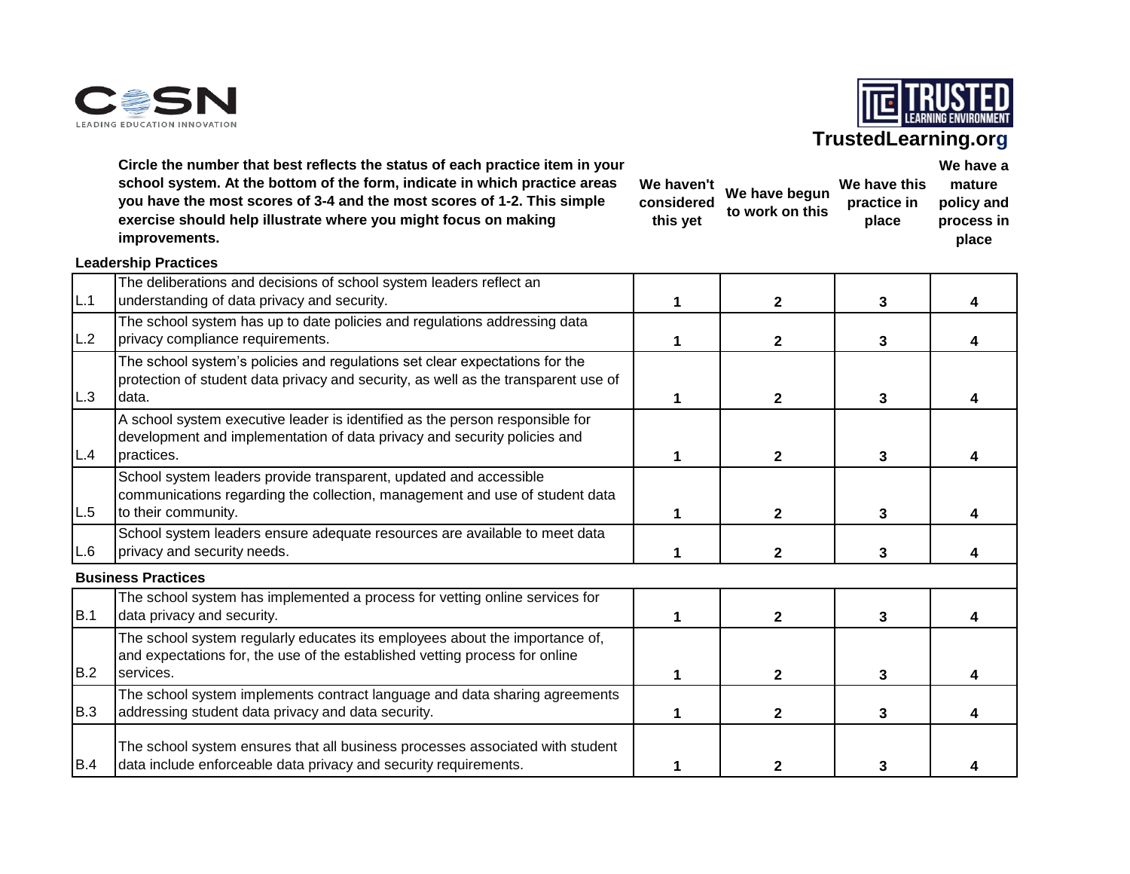



**We have a** 

# **TrustedLearning.org**

**Circle the number that best reflects the status of each practice item in your school system. At the bottom of the form, indicate in which practice areas you have the most scores of 3-4 and the most scores of 1-2. This simple exercise should help illustrate where you might focus on making improvements.**

| We haven't<br>considered<br>this yet | We have begun<br>to work on this | We have this<br>practice in<br>place | mature<br>policy and<br>process in<br>place |
|--------------------------------------|----------------------------------|--------------------------------------|---------------------------------------------|
|--------------------------------------|----------------------------------|--------------------------------------|---------------------------------------------|

|     | <b>Leadership Practices</b>                                                                                                                                                |              |   |  |
|-----|----------------------------------------------------------------------------------------------------------------------------------------------------------------------------|--------------|---|--|
| L.1 | The deliberations and decisions of school system leaders reflect an<br>understanding of data privacy and security.                                                         | $\mathbf{2}$ | 3 |  |
| L.2 | The school system has up to date policies and regulations addressing data<br>privacy compliance requirements.                                                              | $\mathbf{2}$ | 3 |  |
| L.3 | The school system's policies and regulations set clear expectations for the<br>protection of student data privacy and security, as well as the transparent use of<br>data. | $\mathbf{2}$ | 3 |  |
| L.4 | A school system executive leader is identified as the person responsible for<br>development and implementation of data privacy and security policies and<br>practices.     | $\mathbf{2}$ | 3 |  |
| L.5 | School system leaders provide transparent, updated and accessible<br>communications regarding the collection, management and use of student data<br>to their community.    | $\mathbf{2}$ | 3 |  |
| L.6 | School system leaders ensure adequate resources are available to meet data<br>privacy and security needs.                                                                  | $\mathbf{2}$ | 3 |  |
|     | <b>Business Practices</b>                                                                                                                                                  |              |   |  |
| B.1 | The school system has implemented a process for vetting online services for<br>data privacy and security.                                                                  | $\mathbf{2}$ | 3 |  |
| B.2 | The school system regularly educates its employees about the importance of,<br>and expectations for, the use of the established vetting process for online<br>services.    | $\mathbf{2}$ | 3 |  |
| B.3 | The school system implements contract language and data sharing agreements<br>addressing student data privacy and data security.                                           | 2            | 3 |  |
| B.4 | The school system ensures that all business processes associated with student<br>data include enforceable data privacy and security requirements.                          |              |   |  |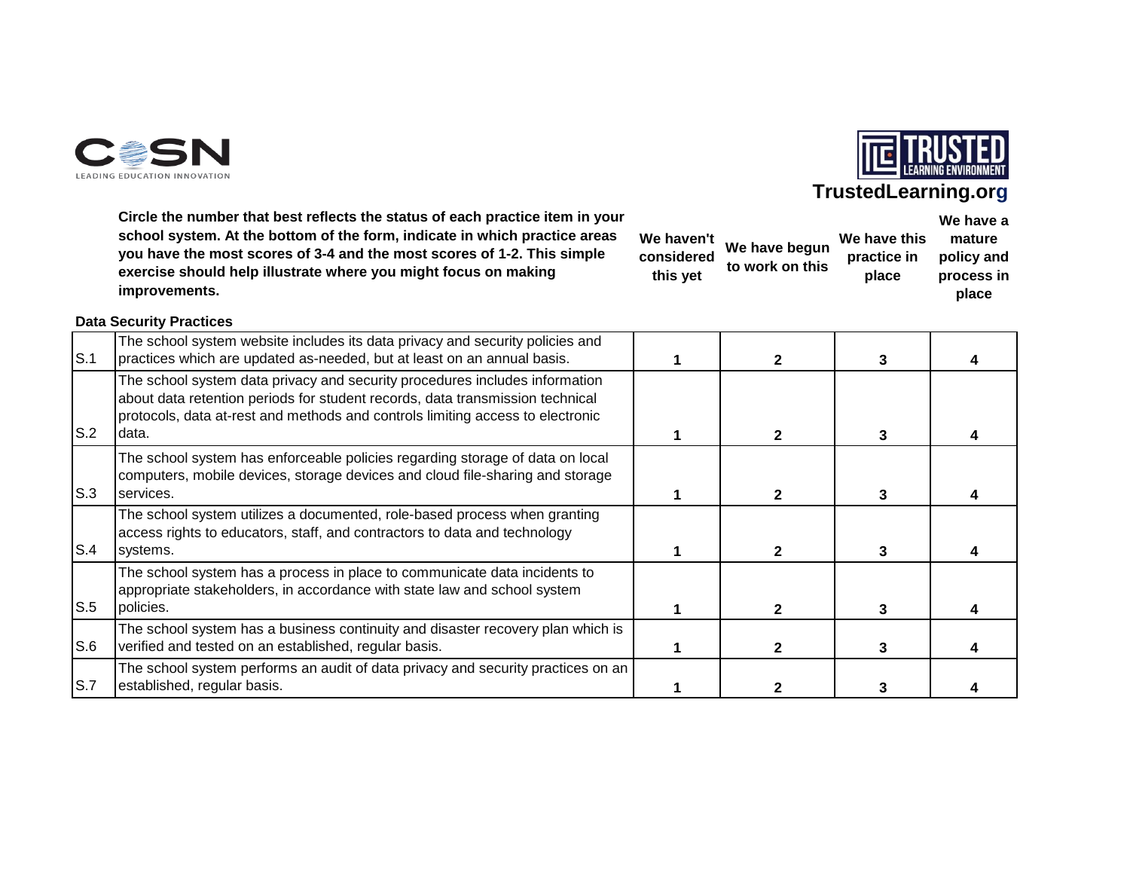



**We have a** 

### **TrustedLearning.org**

**Circle the number that best reflects the status of each practice item in your school system. At the bottom of the form, indicate in which practice areas you have the most scores of 3-4 and the most scores of 1-2. This simple exercise should help illustrate where you might focus on making improvements.**

|                        |                 |                      | .                        |  |
|------------------------|-----------------|----------------------|--------------------------|--|
| We haven't             | We have begun   | We have this         | mature                   |  |
| considered<br>this yet | to work on this | practice in<br>place | policy and<br>process in |  |
|                        |                 |                      | place                    |  |

#### **Data Security Practices**

| S.1 | The school system website includes its data privacy and security policies and<br>practices which are updated as-needed, but at least on an annual basis.                                                                                                |  | 3 |  |
|-----|---------------------------------------------------------------------------------------------------------------------------------------------------------------------------------------------------------------------------------------------------------|--|---|--|
| S.2 | The school system data privacy and security procedures includes information<br>about data retention periods for student records, data transmission technical<br>protocols, data at-rest and methods and controls limiting access to electronic<br>data. |  | 3 |  |
| S.3 | The school system has enforceable policies regarding storage of data on local<br>computers, mobile devices, storage devices and cloud file-sharing and storage<br>services.                                                                             |  |   |  |
| S.4 | The school system utilizes a documented, role-based process when granting<br>access rights to educators, staff, and contractors to data and technology<br>systems.                                                                                      |  |   |  |
| S.5 | The school system has a process in place to communicate data incidents to<br>appropriate stakeholders, in accordance with state law and school system<br>policies.                                                                                      |  | 3 |  |
| S.6 | The school system has a business continuity and disaster recovery plan which is<br>verified and tested on an established, regular basis.                                                                                                                |  | 3 |  |
| S.7 | The school system performs an audit of data privacy and security practices on an<br>established, regular basis.                                                                                                                                         |  |   |  |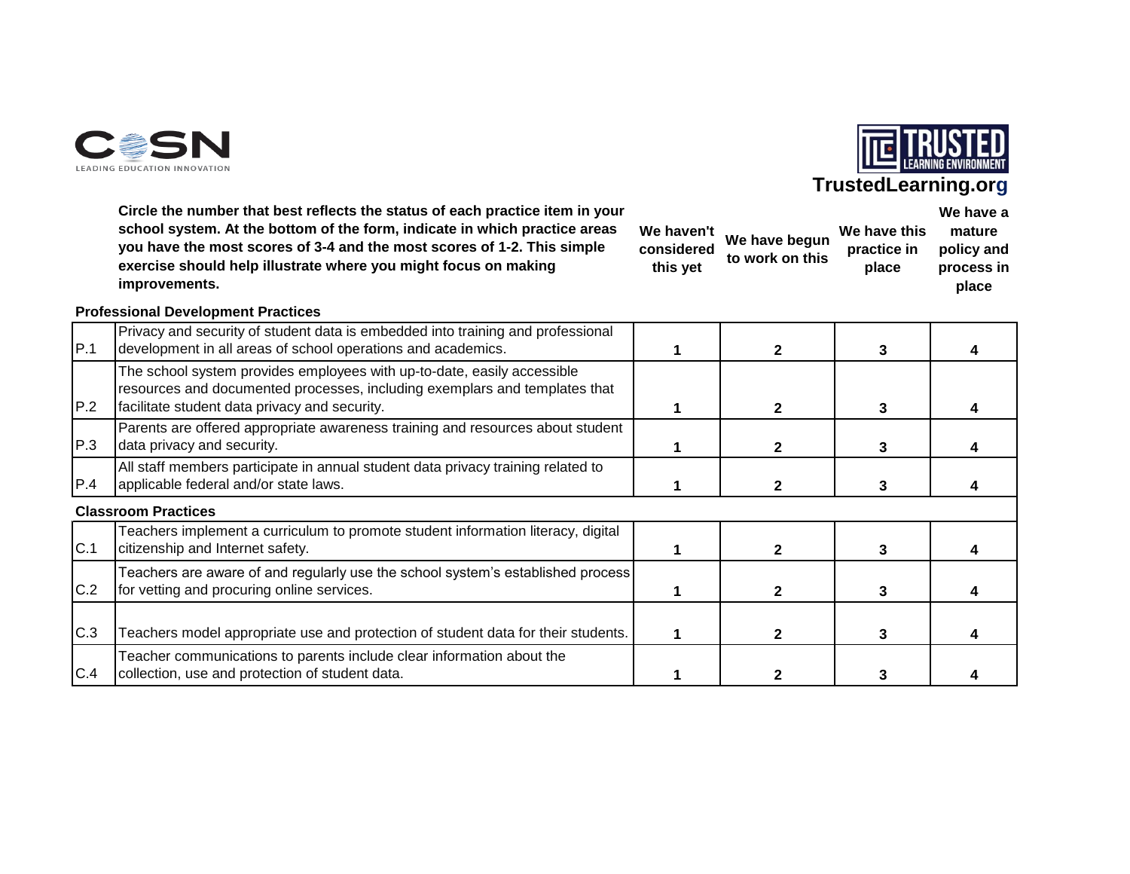



**We have a** 

# **TrustedLearning.org**

**Circle the number that best reflects the status of each practice item in your school system. At the bottom of the form, indicate in which practice areas you have the most scores of 3-4 and the most scores of 1-2. This simple exercise should help illustrate where you might focus on making improvements.**

| considered<br>this yet | We haven't We have begun<br>to work on this | We have this<br>practice in<br>place | mature<br>policy and<br>process in |
|------------------------|---------------------------------------------|--------------------------------------|------------------------------------|
|                        |                                             |                                      | place                              |

### **Professional Development Practices**

| P.1 | Privacy and security of student data is embedded into training and professional<br>development in all areas of school operations and academics.                                                        |  |   |  |
|-----|--------------------------------------------------------------------------------------------------------------------------------------------------------------------------------------------------------|--|---|--|
| P.2 | The school system provides employees with up-to-date, easily accessible<br>resources and documented processes, including exemplars and templates that<br>facilitate student data privacy and security. |  |   |  |
| P.3 | Parents are offered appropriate awareness training and resources about student<br>data privacy and security.                                                                                           |  |   |  |
| P.4 | All staff members participate in annual student data privacy training related to<br>applicable federal and/or state laws.                                                                              |  |   |  |
|     | <b>Classroom Practices</b>                                                                                                                                                                             |  |   |  |
| C.1 | Teachers implement a curriculum to promote student information literacy, digital<br>citizenship and Internet safety.                                                                                   |  |   |  |
| C.2 | Teachers are aware of and regularly use the school system's established process<br>for vetting and procuring online services.                                                                          |  |   |  |
| C.3 | Teachers model appropriate use and protection of student data for their students.                                                                                                                      |  | 3 |  |
| C.4 | Teacher communications to parents include clear information about the<br>collection, use and protection of student data.                                                                               |  |   |  |